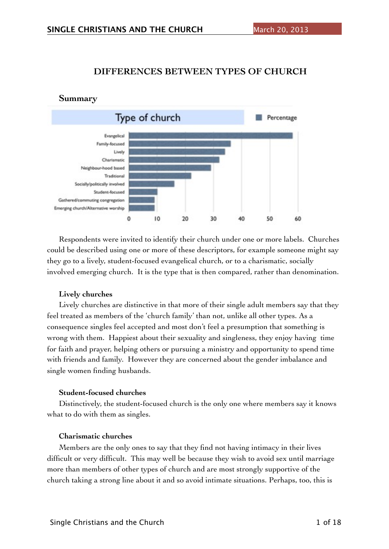### **DIFFERENCES BETWEEN TYPES OF CHURCH**



# Respondents were invited to identify their church under one or more labels. Churches could be described using one or more of these descriptors, for example someone might say they go to a lively, student-focused evangelical church, or to a charismatic, socially involved emerging church. It is the type that is then compared, rather than denomination.

#### **Lively churches**

Lively churches are distinctive in that more of their single adult members say that they feel treated as members of the 'church family' than not, unlike all other types. As a consequence singles feel accepted and most don't feel a presumption that something is wrong with them. Happiest about their sexuality and singleness, they enjoy having time for faith and prayer, helping others or pursuing a ministry and opportunity to spend time with friends and family. However they are concerned about the gender imbalance and single women finding husbands.

#### **Student-focused churches**

Distinctively, the student-focused church is the only one where members say it knows what to do with them as singles.

#### **Charismatic churches**

Members are the only ones to say that they find not having intimacy in their lives difficult or very difficult. This may well be because they wish to avoid sex until marriage more than members of other types of church and are most strongly supportive of the church taking a strong line about it and so avoid intimate situations. Perhaps, too, this is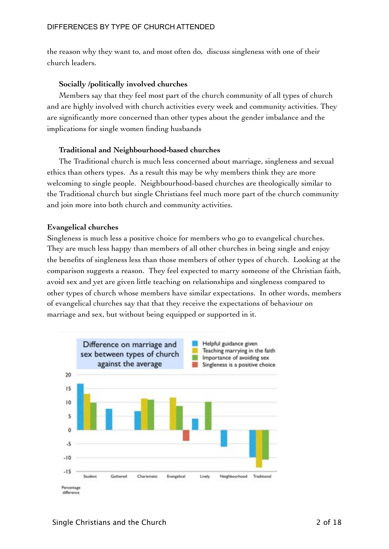the reason why they want to, and most often do, discuss singleness with one of their church leaders.

### **Socially /politically involved churches**

Members say that they feel most part of the church community of all types of church and are highly involved with church activities every week and community activities. They are significantly more concerned than other types about the gender imbalance and the implications for single women finding husbands

### **Traditional and Neighbourhood-based churches**

The Traditional church is much less concerned about marriage, singleness and sexual ethics than others types. As a result this may be why members think they are more welcoming to single people. Neighbourhood-based churches are theologically similar to the Traditional church but single Christians feel much more part of the church community and join more into both church and community activities.

## **Evangelical churches**

Singleness is much less a positive choice for members who go to evangelical churches. They are much less happy than members of all other churches in being single and enjoy the benefits of singleness less than those members of other types of church. Looking at the comparison suggests a reason. They feel expected to marry someone of the Christian faith, avoid sex and yet are given little teaching on relationships and singleness compared to other types of church whose members have similar expectations. In other words, members of evangelical churches say that that they receive the expectations of behaviour on marriage and sex, but without being equipped or supported in it.

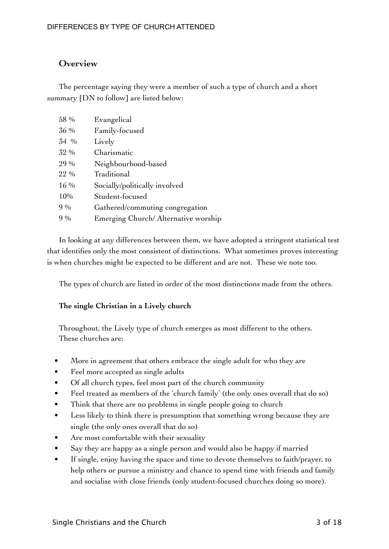# **Overview**

The percentage saying they were a member of such a type of church and a short summary [DN to follow] are listed below:

| 58 %   | Evangelical                         |
|--------|-------------------------------------|
| 36 %   | Family-focused                      |
| 34 %   | Lively                              |
| 32 %   | Charismatic                         |
| 29 %   | Neighbourhood-based                 |
| 22 %   | Traditional                         |
| $16\%$ | Socially/politically involved       |
| 10%    | Student-focused                     |
| 9%     | Gathered/commuting congregation     |
| $9\%$  | Emerging Church/Alternative worship |

In looking at any differences between them, we have adopted a stringent statistical test that identifies only the most consistent of distinctions. What sometimes proves interesting is when churches might be expected to be different and are not. These we note too.

The types of church are listed in order of the most distinctions made from the others.

#### **The single Christian in a Lively church**

Throughout, the Lively type of church emerges as most different to the others. These churches are:

- More in agreement that others embrace the single adult for who they are
- Feel more accepted as single adults
- Of all church types, feel most part of the church community
- Feel treated as members of the 'church family' (the only ones overall that do so)
- Think that there are no problems in single people going to church
- Less likely to think there is presumption that something wrong because they are single (the only ones overall that do so)
- Are most comfortable with their sexuality
- Say they are happy as a single person and would also be happy if married
- If single, enjoy having the space and time to devote themselves to faith/prayer, to help others or pursue a ministry and chance to spend time with friends and family and socialise with close friends (only student-focused churches doing so more).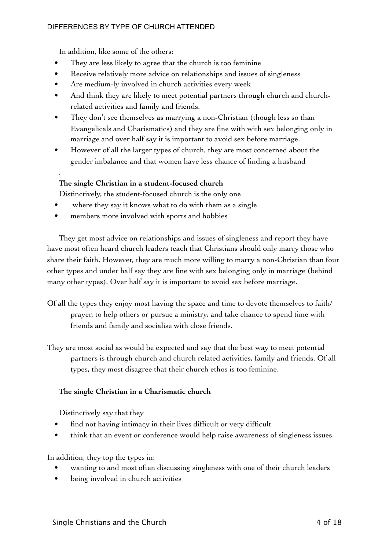In addition, like some of the others:

.

- They are less likely to agree that the church is too feminine
- Receive relatively more advice on relationships and issues of singleness
- Are medium-ly involved in church activities every week
- And think they are likely to meet potential partners through church and churchrelated activities and family and friends.
- They don't see themselves as marrying a non-Christian (though less so than Evangelicals and Charismatics) and they are fine with with sex belonging only in marriage and over half say it is important to avoid sex before marriage.
- However of all the larger types of church, they are most concerned about the gender imbalance and that women have less chance of finding a husband

## **The single Christian in a student-focused church**

Distinctively, the student-focused church is the only one

- where they say it knows what to do with them as a single
- members more involved with sports and hobbies

They get most advice on relationships and issues of singleness and report they have have most often heard church leaders teach that Christians should only marry those who share their faith. However, they are much more willing to marry a non-Christian than four other types and under half say they are fine with sex belonging only in marriage (behind many other types). Over half say it is important to avoid sex before marriage.

- Of all the types they enjoy most having the space and time to devote themselves to faith/ prayer, to help others or pursue a ministry, and take chance to spend time with friends and family and socialise with close friends.
- They are most social as would be expected and say that the best way to meet potential partners is through church and church related activities, family and friends. Of all types, they most disagree that their church ethos is too feminine.

### **The single Christian in a Charismatic church**

Distinctively say that they

- find not having intimacy in their lives difficult or very difficult
- think that an event or conference would help raise awareness of singleness issues.

In addition, they top the types in:

- wanting to and most often discussing singleness with one of their church leaders
- being involved in church activities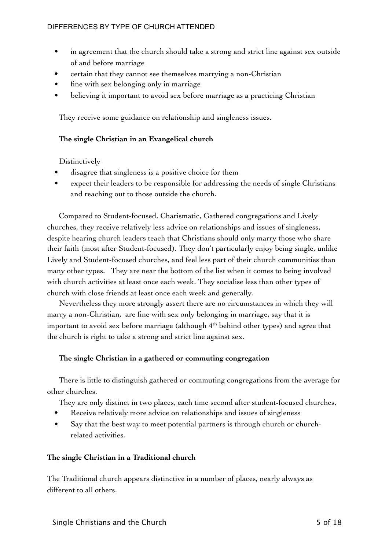- in agreement that the church should take a strong and strict line against sex outside of and before marriage
- certain that they cannot see themselves marrying a non-Christian
- fine with sex belonging only in marriage
- believing it important to avoid sex before marriage as a practicing Christian

They receive some guidance on relationship and singleness issues.

### **The single Christian in an Evangelical church**

Distinctively

- disagree that singleness is a positive choice for them
- expect their leaders to be responsible for addressing the needs of single Christians and reaching out to those outside the church.

Compared to Student-focused, Charismatic, Gathered congregations and Lively churches, they receive relatively less advice on relationships and issues of singleness, despite hearing church leaders teach that Christians should only marry those who share their faith (most after Student-focused). They don't particularly enjoy being single, unlike Lively and Student-focused churches, and feel less part of their church communities than many other types. They are near the bottom of the list when it comes to being involved with church activities at least once each week. They socialise less than other types of church with close friends at least once each week and generally.

Nevertheless they more strongly assert there are no circumstances in which they will marry a non-Christian, are fine with sex only belonging in marriage, say that it is important to avoid sex before marriage (although 4<sup>th</sup> behind other types) and agree that the church is right to take a strong and strict line against sex.

### **The single Christian in a gathered or commuting congregation**

There is little to distinguish gathered or commuting congregations from the average for other churches.

They are only distinct in two places, each time second after student-focused churches,

- **•** Receive relatively more advice on relationships and issues of singleness
- Say that the best way to meet potential partners is through church or churchrelated activities.

### **The single Christian in a Traditional church**

The Traditional church appears distinctive in a number of places, nearly always as different to all others.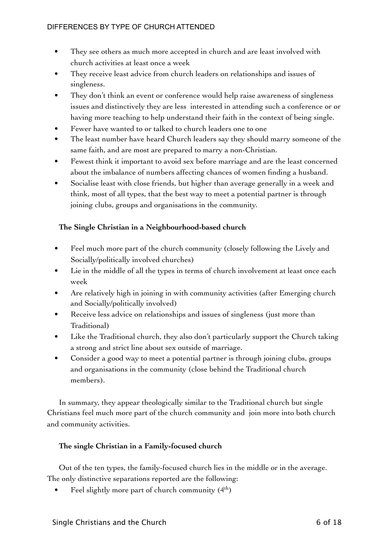- **•** They see others as much more accepted in church and are least involved with church activities at least once a week
- They receive least advice from church leaders on relationships and issues of singleness.
- They don't think an event or conference would help raise awareness of singleness issues and distinctively they are less interested in attending such a conference or or having more teaching to help understand their faith in the context of being single.
- Fewer have wanted to or talked to church leaders one to one
- The least number have heard Church leaders say they should marry someone of the same faith, and are most are prepared to marry a non-Christian.
- Fewest think it important to avoid sex before marriage and are the least concerned about the imbalance of numbers affecting chances of women finding a husband.
- Socialise least with close friends, but higher than average generally in a week and think, most of all types, that the best way to meet a potential partner is through joining clubs, groups and organisations in the community.

# **The Single Christian in a Neighbourhood-based church**

- Feel much more part of the church community (closely following the Lively and Socially/politically involved churches)
- Lie in the middle of all the types in terms of church involvement at least once each week
- Are relatively high in joining in with community activities (after Emerging church and Socially/politically involved)
- Receive less advice on relationships and issues of singleness (just more than Traditional)
- Like the Traditional church, they also don't particularly support the Church taking a strong and strict line about sex outside of marriage.
- Consider a good way to meet a potential partner is through joining clubs, groups and organisations in the community (close behind the Traditional church members).

In summary, they appear theologically similar to the Traditional church but single Christians feel much more part of the church community and join more into both church and community activities.

### **The single Christian in a Family-focused church**

Out of the ten types, the family-focused church lies in the middle or in the average. The only distinctive separations reported are the following:

Feel slightly more part of church community  $(4<sup>th</sup>)$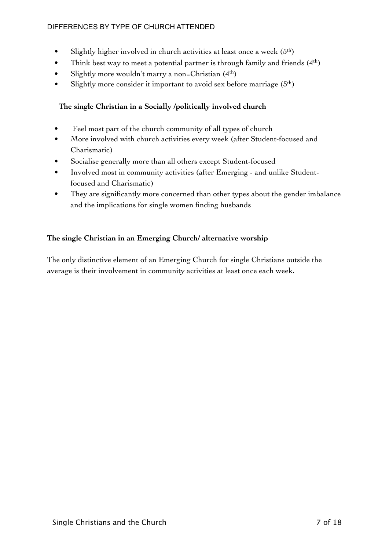- Slightly higher involved in church activities at least once a week  $(5<sup>th</sup>)$
- Think best way to meet a potential partner is through family and friends  $(4<sup>th</sup>)$
- Slightly more wouldn't marry a non=Christian  $(4<sup>th</sup>)$
- Slightly more consider it important to avoid sex before marriage  $(5<sup>th</sup>)$

# **The single Christian in a Socially /politically involved church**

- Feel most part of the church community of all types of church
- More involved with church activities every week (after Student-focused and Charismatic)
- Socialise generally more than all others except Student-focused
- Involved most in community activities (after Emerging and unlike Studentfocused and Charismatic)
- They are significantly more concerned than other types about the gender imbalance and the implications for single women finding husbands

# **The single Christian in an Emerging Church/ alternative worship**

The only distinctive element of an Emerging Church for single Christians outside the average is their involvement in community activities at least once each week.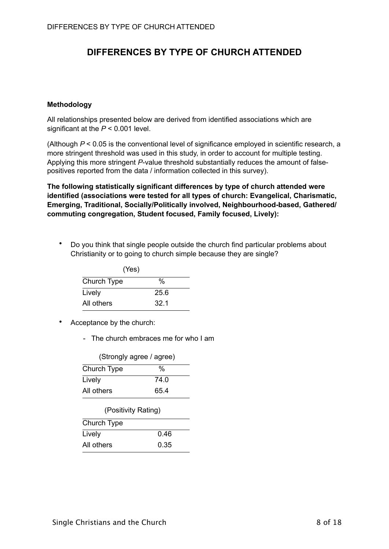#### **Methodology**

All relationships presented below are derived from identified associations which are significant at the *P* < 0.001 level.

(Although *P* < 0.05 is the conventional level of significance employed in scientific research, a more stringent threshold was used in this study, in order to account for multiple testing. Applying this more stringent *P*-value threshold substantially reduces the amount of falsepositives reported from the data / information collected in this survey).

**The following statistically significant differences by type of church attended were identified (associations were tested for all types of church: Evangelical, Charismatic, Emerging, Traditional, Socially/Politically involved, Neighbourhood-based, Gathered/ commuting congregation, Student focused, Family focused, Lively):** 

• Do you think that single people outside the church find particular problems about Christianity or to going to church simple because they are single?

|             | (Yes) |
|-------------|-------|
| Church Type | %     |
| Lively      | 25.6  |
| All others  | 32.1  |

- Acceptance by the church:
	- The church embraces me for who I am

| (Strongly agree / agree) |      |
|--------------------------|------|
| Church Type              | %    |
| Lively                   | 74.0 |
| All others               | 65.4 |

| (Positivity Rating) |      |
|---------------------|------|
| Church Type         |      |
| Lively              | 0.46 |
| All others          | 0.35 |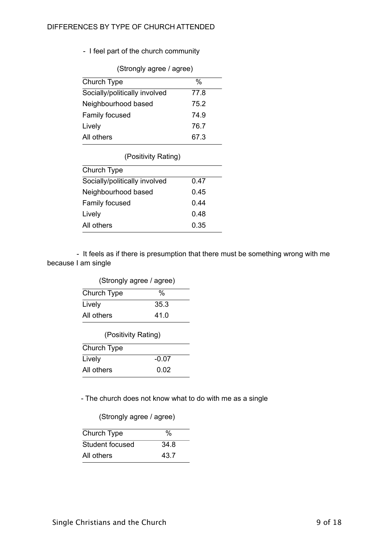- I feel part of the church community

(Strongly agree / agree)

| Church Type                   | %    |
|-------------------------------|------|
| Socially/politically involved | 77.8 |
| Neighbourhood based           | 75.2 |
| Family focused                | 74.9 |
| Lively                        | 76.7 |
| All others                    | 67.3 |
|                               |      |

#### (Positivity Rating)

| Church Type                   |      |
|-------------------------------|------|
| Socially/politically involved | 0.47 |
| Neighbourhood based           | 0.45 |
| Family focused                | 0.44 |
| Lively                        | 0.48 |
| All others                    | 0.35 |
|                               |      |

 - It feels as if there is presumption that there must be something wrong with me because I am single

| (Strongly agree / agree) |  |
|--------------------------|--|
| %                        |  |
| 35.3                     |  |
| 41.0                     |  |
|                          |  |

| (Positivity Rating) |         |
|---------------------|---------|
| Church Type         |         |
| Lively              | $-0.07$ |
| All others          | 0.02    |

- The church does not know what to do with me as a single

# (Strongly agree / agree)

| Church Type     | $\%$ |
|-----------------|------|
| Student focused | 34.8 |
| All others      | 43.7 |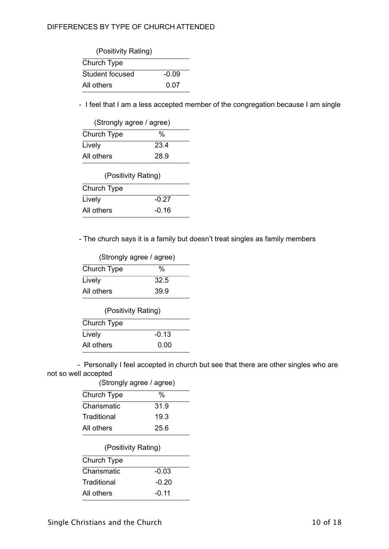| (Positivity Rating) |  |  |
|---------------------|--|--|
|                     |  |  |
| $-0.09$             |  |  |
| 0.07                |  |  |
|                     |  |  |

- I feel that I am a less accepted member of the congregation because I am single

| (Strongly agree / agree) |      |
|--------------------------|------|
| Church Type              | %    |
| Lively                   | 23.4 |
| All others               | 28.9 |

| (Positivity Rating) |  |
|---------------------|--|
|                     |  |
| $-0.27$             |  |
| $-0.16$             |  |
|                     |  |

- The church says it is a family but doesn't treat singles as family members

| (Strongly agree / agree) |      |
|--------------------------|------|
| Church Type              | %    |
| Lively                   | 32.5 |
| All others               | 39.9 |

| (Positivity Rating) |         |
|---------------------|---------|
| Church Type         |         |
| Lively              | $-0.13$ |
| All others          | 0.00    |

 - Personally I feel accepted in church but see that there are other singles who are not so well accepted (Strongly agree / agree)

| (Ottoriyiy ayrcc / ayrcc) |         |
|---------------------------|---------|
| Church Type               | %       |
| Charismatic               | 31.9    |
| Traditional               | 19.3    |
| All others                | 25.6    |
| (Positivity Rating)       |         |
| Church Type               |         |
| Charismatic               | $-0.03$ |
| Traditional               | -0.20   |
|                           |         |
| All others                | $-0.11$ |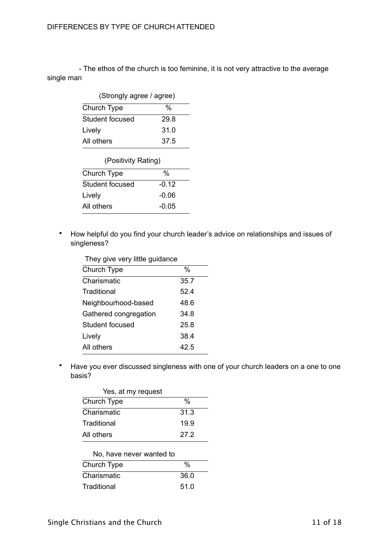- The ethos of the church is too feminine, it is not very attractive to the average single man

|                 | (Strongly agree / agree) |  |
|-----------------|--------------------------|--|
| Church Type     | %                        |  |
| Student focused | 29.8                     |  |
| Lively          | 31.0                     |  |
| All others      | 37.5                     |  |

| (Positivity Rating) |         |
|---------------------|---------|
| Church Type         | %       |
| Student focused     | $-0.12$ |
| Lively              | $-0.06$ |
| All others          | $-0.05$ |

• How helpful do you find your church leader's advice on relationships and issues of singleness?

| They give very little guidance |      |
|--------------------------------|------|
| Church Type                    | %    |
| Charismatic                    | 35.7 |
| Traditional                    | 52.4 |
| Neighbourhood-based            | 48.6 |
| Gathered congregation          | 34.8 |
| Student focused                | 25.8 |
| Lively                         | 38.4 |
| All others                     | 42.5 |
|                                |      |

• Have you ever discussed singleness with one of your church leaders on a one to one basis?

| Yes, at my request |      |
|--------------------|------|
| Church Type        | %    |
| Charismatic        | 31.3 |
| Traditional        | 19.9 |
| All others         | 27.2 |
|                    |      |

| No, have never wanted to |      |
|--------------------------|------|
| Church Type              | %    |
| Charismatic              | 36.0 |
| Traditional              | 51.0 |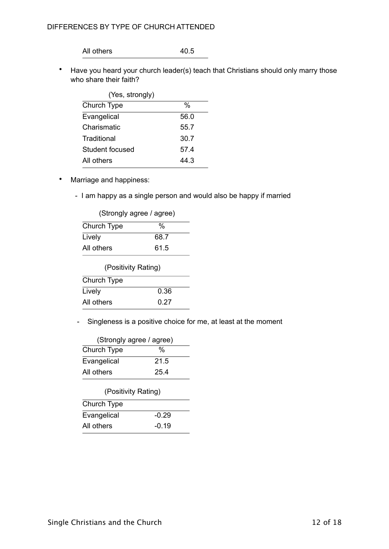All others 40.5

• Have you heard your church leader(s) teach that Christians should only marry those who share their faith?

| (Yes, strongly) |      |
|-----------------|------|
| Church Type     | %    |
| Evangelical     | 56.0 |
| Charismatic     | 55.7 |
| Traditional     | 30.7 |
| Student focused | 57.4 |
| All others      | 44.3 |
|                 |      |

- Marriage and happiness:
	- I am happy as a single person and would also be happy if married

|             | (Strongly agree / agree) |  |
|-------------|--------------------------|--|
| Church Type | %                        |  |
| Lively      | 68.7                     |  |
| All others  | 61.5                     |  |

| (Positivity Rating) |  |
|---------------------|--|
|                     |  |
| 0.36                |  |
| 0.27                |  |
|                     |  |

- Singleness is a positive choice for me, at least at the moment

|             | (Strongly agree / agree) |  |
|-------------|--------------------------|--|
| Church Type | %                        |  |
| Evangelical | 21.5                     |  |
| All others  | 25.4                     |  |

| (Positivity Rating) |         |
|---------------------|---------|
| Church Type         |         |
| Evangelical         | $-0.29$ |

| All others  | $-0.19$ |
|-------------|---------|
| Evangelical | -u.zo   |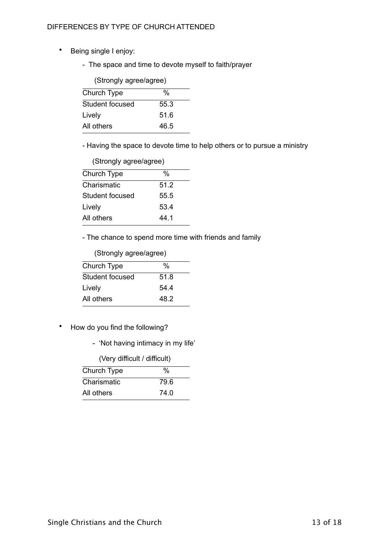- Being single I enjoy:
	- The space and time to devote myself to faith/prayer

| (Strongly agree/agree) |  |  |
|------------------------|--|--|
| %                      |  |  |
| 55.3                   |  |  |
| 51.6                   |  |  |
| 46.5                   |  |  |
|                        |  |  |

- Having the space to devote time to help others or to pursue a ministry

| (Strongly agree/agree) |      |
|------------------------|------|
| Church Type            | %    |
| Charismatic            | 51.2 |
| Student focused        | 55.5 |
| Lively                 | 53.4 |
| All others             | 44.1 |

- The chance to spend more time with friends and family

|  | (Strongly agree/agree) |
|--|------------------------|
|--|------------------------|

| Church Type     | %    |
|-----------------|------|
| Student focused | 51.8 |
| Lively          | 54.4 |
| All others      | 48.2 |

- How do you find the following?
	- 'Not having intimacy in my life'

| (Very difficult / difficult) |      |
|------------------------------|------|
| Church Type                  | %    |
| Charismatic                  | 79.6 |
| All others                   | 74.0 |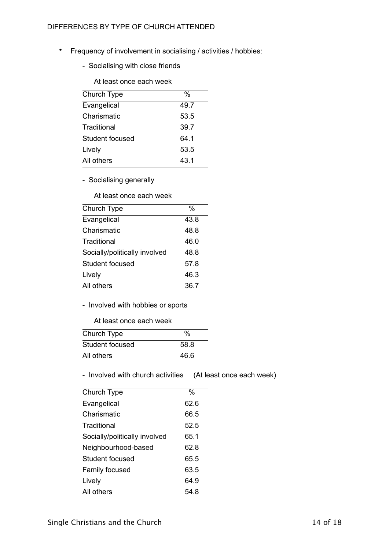- Frequency of involvement in socialising / activities / hobbies:
	- Socialising with close friends

At least once each week

| Church Type     | %    |
|-----------------|------|
| Evangelical     | 49.7 |
| Charismatic     | 53.5 |
| Traditional     | 39.7 |
| Student focused | 64.1 |
| Lively          | 53.5 |
| All others      | 43.1 |

- Socialising generally

At least once each week

| Church Type                   | %    |
|-------------------------------|------|
| Evangelical                   | 43.8 |
| Charismatic                   | 48.8 |
| Traditional                   | 46.0 |
| Socially/politically involved | 48.8 |
| Student focused               | 57.8 |
| Lively                        | 46.3 |
| All others                    | 36.7 |

- Involved with hobbies or sports

#### At least once each week

| Church Type     | %    |
|-----------------|------|
| Student focused | 58.8 |
| All others      | 46.6 |

- Involved with church activities (At least once each week)

| Church Type                   | $\%$ |
|-------------------------------|------|
| Evangelical                   | 62.6 |
| Charismatic                   | 66.5 |
| Traditional                   | 52.5 |
| Socially/politically involved | 65.1 |
| Neighbourhood-based           | 62.8 |
| Student focused               | 65.5 |
| Family focused                | 63.5 |
| Lively                        | 64 9 |
| All others                    | 54.8 |
|                               |      |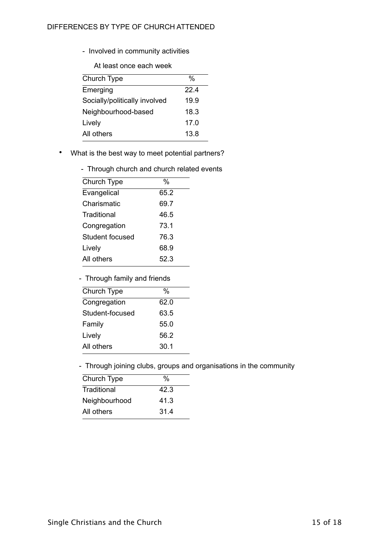- Involved in community activities

At least once each week

| Church Type                   | %    |
|-------------------------------|------|
| Emerging                      | 22.4 |
| Socially/politically involved | 19.9 |
| Neighbourhood-based           | 18.3 |
| Lively                        | 17.0 |
| All others                    | 13.8 |

• What is the best way to meet potential partners?

| - Through church and church related events |  |
|--------------------------------------------|--|
|--------------------------------------------|--|

| Church Type     | %    |
|-----------------|------|
| Evangelical     | 65.2 |
| Charismatic     | 69.7 |
| Traditional     | 46.5 |
| Congregation    | 73.1 |
| Student focused | 76.3 |
| Lively          | 68.9 |
| All others      | 52.3 |

- Through family and friends

| Church Type     | %    |  |
|-----------------|------|--|
| Congregation    | 62.0 |  |
| Student-focused | 63.5 |  |
| Family          | 55.0 |  |
| Lively          | 56.2 |  |
| All others      | 30.1 |  |
|                 |      |  |

- Through joining clubs, groups and organisations in the community

| Church Type   | %    |
|---------------|------|
| Traditional   | 42.3 |
| Neighbourhood | 41.3 |
| All others    | 31.4 |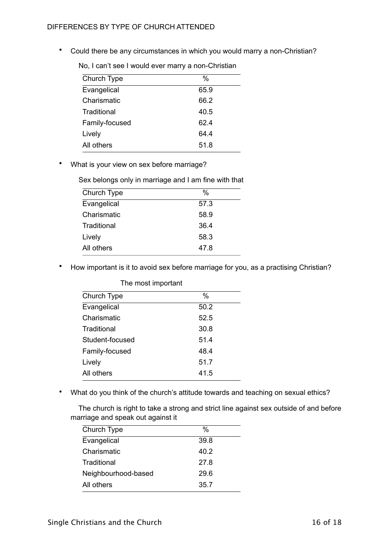• Could there be any circumstances in which you would marry a non-Christian?

| Church Type    | %    |
|----------------|------|
| Evangelical    | 65.9 |
| Charismatic    | 66.2 |
| Traditional    | 40.5 |
| Family-focused | 62.4 |
| Lively         | 64.4 |
| All others     | 51.8 |

No, I can't see I would ever marry a non-Christian

• What is your view on sex before marriage?

Sex belongs only in marriage and I am fine with that

| Church Type | %    |
|-------------|------|
| Evangelical | 57.3 |
| Charismatic | 58.9 |
| Traditional | 36.4 |
| Lively      | 58.3 |
| All others  | 47.8 |

• How important is it to avoid sex before marriage for you, as a practising Christian?

| The most important |      |
|--------------------|------|
| Church Type        | $\%$ |
| Evangelical        | 50.2 |
| Charismatic        | 52.5 |
| Traditional        | 30.8 |
| Student-focused    | 51.4 |
| Family-focused     | 48.4 |
| Lively             | 51.7 |
| All others         | 41.5 |
|                    |      |

• What do you think of the church's attitude towards and teaching on sexual ethics?

 The church is right to take a strong and strict line against sex outside of and before marriage and speak out against it

| Church Type         | %    |  |
|---------------------|------|--|
| Evangelical         | 39.8 |  |
| Charismatic         | 40.2 |  |
| Traditional         | 27.8 |  |
| Neighbourhood-based | 29.6 |  |
| All others          | 35.7 |  |
|                     |      |  |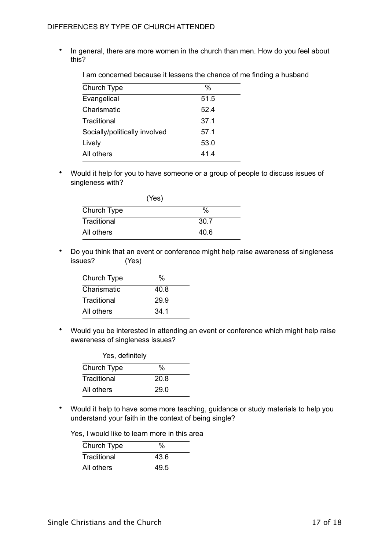• In general, there are more women in the church than men. How do you feel about this?

I am concerned because it lessens the chance of me finding a husband

| Church Type                   | $\%$ |
|-------------------------------|------|
| Evangelical                   | 51.5 |
| Charismatic                   | 52.4 |
| Traditional                   | 37.1 |
| Socially/politically involved | 57.1 |
| Lively                        | 53.0 |
| All others                    | 414  |

• Would it help for you to have someone or a group of people to discuss issues of singleness with?

| (Yes)       |      |
|-------------|------|
| Church Type | %    |
| Traditional | 30.7 |
| All others  | 40.6 |

• Do you think that an event or conference might help raise awareness of singleness issues? (Yes)

| Church Type | %    |
|-------------|------|
| Charismatic | 40.8 |
| Traditional | 29.9 |
| All others  | 34.1 |

• Would you be interested in attending an event or conference which might help raise awareness of singleness issues?

| Yes, definitely |      |  |
|-----------------|------|--|
| Church Type     | %    |  |
| Traditional     | 20.8 |  |
| All others      | 29.0 |  |

• Would it help to have some more teaching, guidance or study materials to help you understand your faith in the context of being single?

Yes, I would like to learn more in this area

| Church Type | $\%$ |
|-------------|------|
| Traditional | 43.6 |
| All others  | 49.5 |